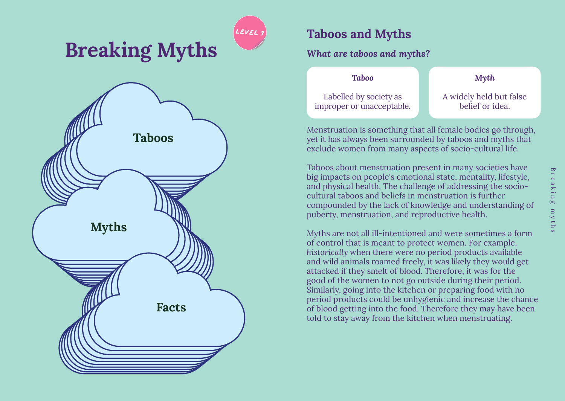

# **level 1 Taboos and Myths**

## *What are taboos and myths?*

| <b>Taboo</b>                                        | $M\gamma th$                               |
|-----------------------------------------------------|--------------------------------------------|
| Labelled by society as<br>improper or unacceptable. | A widely held but false<br>belief or idea. |

Menstruation is something that all female bodies go through, yet it has always been surrounded by taboos and myths that exclude women from many aspects of socio-cultural life.

Taboos about menstruation present in many societies have big impacts on people's emotional state, mentality, lifestyle, and physical health. The challenge of addressing the sociocultural taboos and beliefs in menstruation is further compounded by the lack of knowledge and understanding of puberty, menstruation, and reproductive health.

Myths are not all ill-intentioned and were sometimes a form of control that is meant to protect women. For example, *historically* when there were no period products available and wild animals roamed freely, it was likely they would get attacked if they smelt of blood. Therefore, it was for the good of the women to not go outside during their period. Similarly, going into the kitchen or preparing food with no period products could be unhygienic and increase the chance of blood getting into the food. Therefore they may have been told to stay away from the kitchen when menstruating.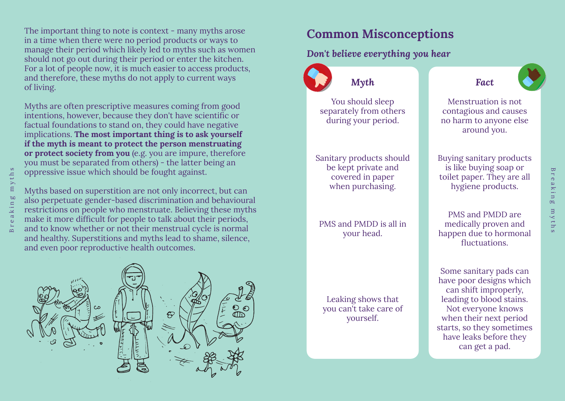The important thing to note is context - many myths arose in a time when there were no period products or ways to manage their period which likely led to myths such as women should not go out during their period or enter the kitchen. For a lot of people now, it is much easier to access products, and therefore, these myths do not apply to current ways of living.

Myths are often prescriptive measures coming from good intentions, however, because they don't have scientific or factual foundations to stand on, they could have negative implications. **The most important thing is to ask yourself if the myth is meant to protect the person menstruating or protect society from you** (e.g. you are impure, therefore you must be separated from others) - the latter being an oppressive issue which should be fought against.

Myths based on superstition are not only incorrect, but can also perpetuate gender-based discrimination and behavioural restrictions on people who menstruate. Believing these myths make it more difficult for people to talk about their periods, and to know whether or not their menstrual cycle is normal and healthy. Superstitions and myths lead to shame, silence, and even poor reproductive health outcomes.



## **Common Misconceptions**

## *Don't believe everything you hear*



Breaking myths

 $m y t h$ 

Breaking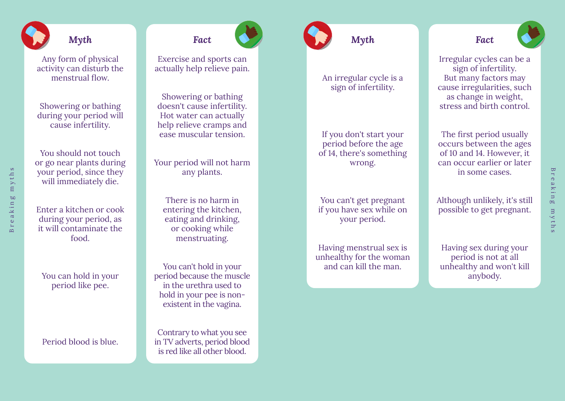# *Myth*

Any form of physical activity can disturb the menstrual flow.

Showering or bathing during your period will cause infertility.

You should not touch or go near plants during your period, since they will immediately die.

Breaking myths

eaking

 $\overline{S}$ 

myths

Enter a kitchen or cook during your period, as it will contaminate the food.

You can hold in your period like pee.

Period blood is blue.

Exercise and sports can actually help relieve pain.

*Fact*

Showering or bathing doesn't cause infertility. Hot water can actually help relieve cramps and ease muscular tension.

Your period will not harm any plants.

There is no harm in entering the kitchen, eating and drinking, or cooking while menstruating.

You can't hold in your period because the muscle in the urethra used to hold in your pee is nonexistent in the vagina.

Contrary to what you see in TV adverts, period blood is red like all other blood.



#### An irregular cycle is a sign of infertility.

If you don't start your period before the age of 14, there's something wrong.

You can't get pregnant if you have sex while on your period.

Having menstrual sex is unhealthy for the woman and can kill the man.

*Fact*

Irregular cycles can be a sign of infertility. But many factors may cause irregularities, such as change in weight, stress and birth control.

The first period usually occurs between the ages of 10 and 14. However, it can occur earlier or later in some cases.

Although unlikely, it's still possible to get pregnant.

Having sex during your period is not at all unhealthy and won't kill anybody.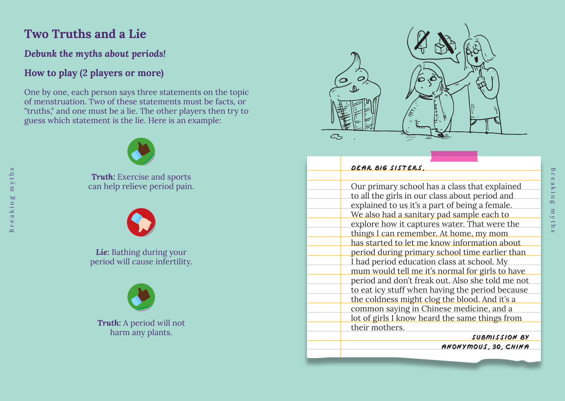## **Two Truths and a Lie**

Breaking myths

eakin  $\mathbf{H}$  $\overline{\mathbf{B}}$ 

 $\infty$ 

 $t$ h  $m y$  $\infty$ 

### *Debunk the myths about periods!*

## **How to play (2 players or more)**

One by one, each person says three statements on the topic of menstruation. Two of these statements must be facts, or "truths," and one must be a lie. The other players then try to guess which statement is the lie. Here is an example:



**Truth:** Exercise and sports can help relieve period pain.



*Lie:* Bathing during your period will cause infertility.



*Truth:* A period will not harm any plants.



| DEAR BIG SISTERS.                                |
|--------------------------------------------------|
|                                                  |
| Our primary school has a class that explained    |
| to all the girls in our class about period and   |
| explained to us it's a part of being a female.   |
| We also had a sanitary pad sample each to        |
| explore how it captures water. That were the     |
| things I can remember. At home, my mom           |
| has started to let me know information about     |
| period during primary school time earlier than   |
| I had period education class at school. My       |
| mum would tell me it's normal for girls to have  |
| period and don't freak out. Also she told me not |
| to eat icy stuff when having the period because  |
| the coldness might clog the blood. And it's a    |
| common saying in Chinese medicine, and a         |
| lot of girls I know heard the same things from   |
| their mothers.                                   |
|                                                  |

**Submission by Anonymous**, **30**, **CHINa**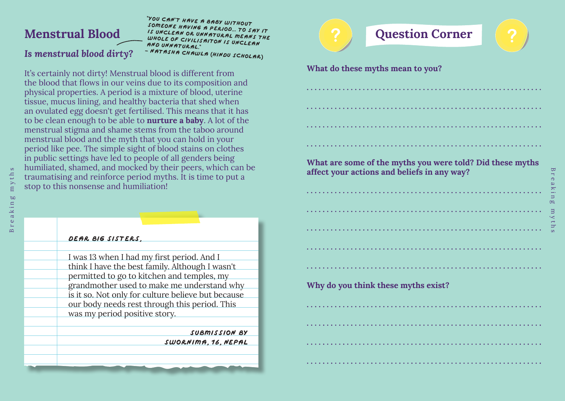# **Menstrual Blood**

*Is menstrual blood dirty?* 

Breaking myths

 $\Xi$  $\simeq$ ್ಡ  $\bullet$ 

ೲ

 $m y$ 

 $\infty$ 

"**You can't have a baby without someone having a period... to say it is unclean or unnatural means the whole of civilisaiton is unclean and unnatural.**" **- Natasha Chawla (hindu scholar)**

It's certainly not dirty! Menstrual blood is different from the blood that flows in our veins due to its composition and physical properties. A period is a mixture of blood, uterine tissue, mucus lining, and healthy bacteria that shed when an ovulated egg doesn't get fertilised. This means that it has to be clean enough to be able to **nurture a baby**. A lot of the menstrual stigma and shame stems from the taboo around menstrual blood and the myth that you can hold in your period like pee. The simple sight of blood stains on clothes in public settings have led to people of all genders being humiliated, shamed, and mocked by their peers, which can be traumatising and reinforce period myths. It is time to put a stop to this nonsense and humiliation!

| DEAR BIG SISTERS.                                  |
|----------------------------------------------------|
|                                                    |
| I was 13 when I had my first period. And I         |
| think I have the best family. Although I wasn't    |
| permitted to go to kitchen and temples, my         |
| grandmother used to make me understand why         |
| is it so. Not only for culture believe but because |
| our body needs rest through this period. This      |
| was my period positive story.                      |
|                                                    |
| SUBMISSION BY                                      |
| SWORNIMA. 16. NEPAL                                |
|                                                    |
|                                                    |
|                                                    |

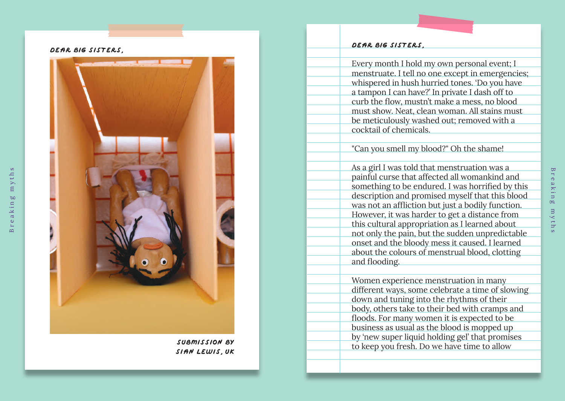**Dear Big Sisters** ,



**Submission by Si ân Lewis** , **UK**

#### **Dear big sisters** ,

Every month I hold my own personal event; I menstruate. I tell no one except in emergencies; whispered in hush hurried tones. 'Do you have a tampon I can have?' In private I dash off to curb the flow, mustn't make a mess, no blood must show. Neat, clean woman. All stains must be meticulously washed out; removed with a cocktail of chemicals.

"Can you smell my blood?" Oh the shame!

As a girl I was told that menstruation was a painful curse that affected all womankind and something to be endured. I was horrified by this description and promised myself that this blood was not an affliction but just a bodily function. However, it was harder to get a distance from this cultural appropriation as I learned about not only the pain, but the sudden unpredictable onset and the bloody mess it caused. I learned about the colours of menstrual blood, clotting and flooding.

Women experience menstruation in many different ways, some celebrate a time of slowing down and tuning into the rhythms of their body, others take to their bed with cramps and floods. For many women it is expected to be business as usual as the blood is mopped up by 'new super liquid holding gel' that promises to keep you fresh. Do we have time to allow